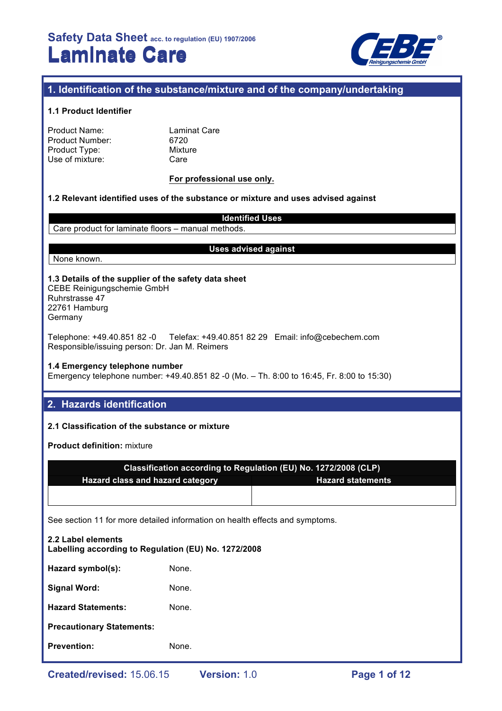

# **1. Identification of the substance/mixture and of the company/undertaking**

#### **1.1 Product Identifier**

| Product Name:   |
|-----------------|
| Product Number: |
| Product Type:   |
| Use of mixture: |

Laminat Care 6720 **Mixture** Care

#### **For professional use only.**

#### **1.2 Relevant identified uses of the substance or mixture and uses advised against**

Care product for laminate floors – manual methods.

#### **Uses advised against**

**Identified Uses**

None known.

### **1.3 Details of the supplier of the safety data sheet**

CEBE Reinigungschemie GmbH Ruhrstrasse 47 22761 Hamburg Germany

Telephone: +49.40.851 82 -0 Telefax: +49.40.851 82 29 Email: info@cebechem.com Responsible/issuing person: Dr. Jan M. Reimers

#### **1.4 Emergency telephone number**

Emergency telephone number: +49.40.851 82 -0 (Mo. – Th. 8:00 to 16:45, Fr. 8:00 to 15:30)

# **2. Hazards identification**

#### **2.1 Classification of the substance or mixture**

**Product definition:** mixture

| Classification according to Regulation (EU) No. 1272/2008 (CLP) |  |  |  |
|-----------------------------------------------------------------|--|--|--|
| Hazard class and hazard category<br><b>Hazard statements</b>    |  |  |  |
|                                                                 |  |  |  |
|                                                                 |  |  |  |

See section 11 for more detailed information on health effects and symptoms.

# **2.2 Label elements Labelling according to Regulation (EU) No. 1272/2008** Hazard symbol(s): None. Signal Word: None. **Hazard Statements:** None. **Precautionary Statements: Prevention:** None.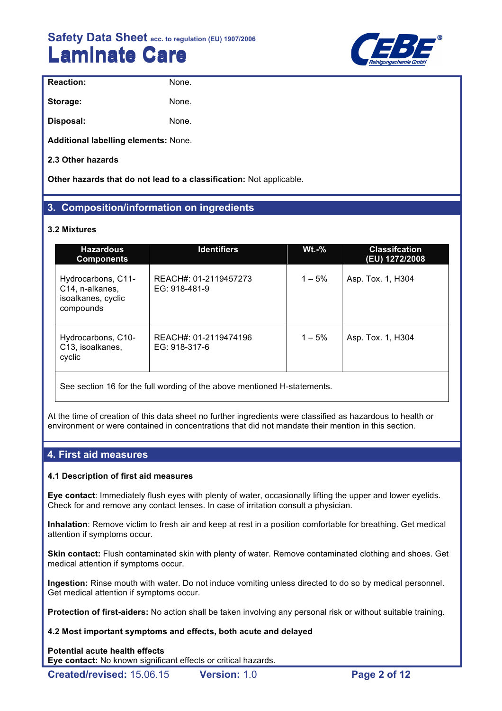

| <b>Reaction:</b> | None. |
|------------------|-------|
| Storage:         | None. |
| Disposal:        | None. |

**Additional labelling elements:** None.

**2.3 Other hazards**

**Other hazards that do not lead to a classification:** Not applicable.

# **3. Composition/information on ingredients**

#### **3.2 Mixtures**

| <b>Hazardous</b><br><b>Components</b>                                    | <b>Identifiers</b>                     | $Wt.-%$   | <b>Classifcation</b><br>(EU) 1272/2008 |
|--------------------------------------------------------------------------|----------------------------------------|-----------|----------------------------------------|
| Hydrocarbons, C11-<br>C14, n-alkanes,<br>isoalkanes, cyclic<br>compounds | REACH#: 01-2119457273<br>EG: 918-481-9 | $1 - 5%$  | Asp. Tox. 1, H304                      |
| Hydrocarbons, C10-<br>C13, isoalkanes,<br>cyclic                         | REACH#: 01-2119474196<br>EG: 918-317-6 | $1 - 5\%$ | Asp. Tox. 1, H304                      |
|                                                                          |                                        |           |                                        |

See section 16 for the full wording of the above mentioned H-statements.

At the time of creation of this data sheet no further ingredients were classified as hazardous to health or environment or were contained in concentrations that did not mandate their mention in this section.

### **4. First aid measures**

#### **4.1 Description of first aid measures**

**Eye contact**: Immediately flush eyes with plenty of water, occasionally lifting the upper and lower eyelids. Check for and remove any contact lenses. In case of irritation consult a physician.

**Inhalation**: Remove victim to fresh air and keep at rest in a position comfortable for breathing. Get medical attention if symptoms occur.

**Skin contact:** Flush contaminated skin with plenty of water. Remove contaminated clothing and shoes. Get medical attention if symptoms occur.

**Ingestion:** Rinse mouth with water. Do not induce vomiting unless directed to do so by medical personnel. Get medical attention if symptoms occur.

**Protection of first-aiders:** No action shall be taken involving any personal risk or without suitable training.

#### **4.2 Most important symptoms and effects, both acute and delayed**

**Potential acute health effects Eye contact:** No known significant effects or critical hazards.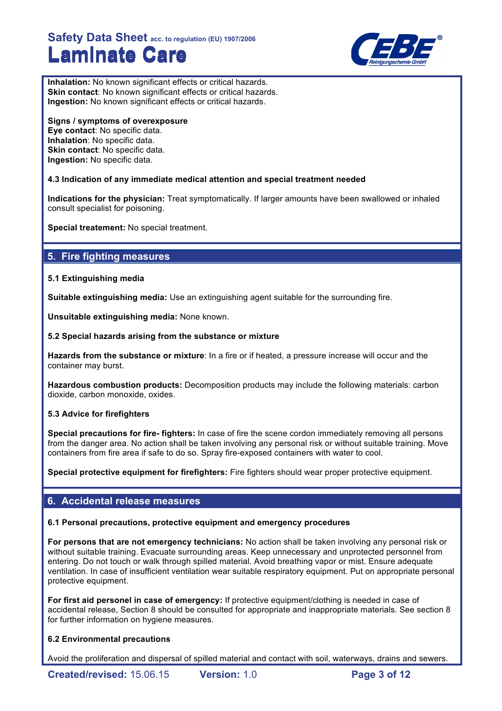

**Inhalation:** No known significant effects or critical hazards. **Skin contact:** No known significant effects or critical hazards. **Ingestion:** No known significant effects or critical hazards.

# **Signs / symptoms of overexposure**

**Eye contact**: No specific data. **Inhalation**: No specific data. **Skin contact**: No specific data. **Ingestion:** No specific data.

### **4.3 Indication of any immediate medical attention and special treatment needed**

**Indications for the physician:** Treat symptomatically. If larger amounts have been swallowed or inhaled consult specialist for poisoning.

**Special treatement:** No special treatment.

# **5. Fire fighting measures**

#### **5.1 Extinguishing media**

**Suitable extinguishing media:** Use an extinguishing agent suitable for the surrounding fire.

**Unsuitable extinguishing media:** None known.

#### **5.2 Special hazards arising from the substance or mixture**

**Hazards from the substance or mixture**: In a fire or if heated, a pressure increase will occur and the container may burst.

**Hazardous combustion products:** Decomposition products may include the following materials: carbon dioxide, carbon monoxide, oxides.

#### **5.3 Advice for firefighters**

**Special precautions for fire- fighters:** In case of fire the scene cordon immediately removing all persons from the danger area. No action shall be taken involving any personal risk or without suitable training. Move containers from fire area if safe to do so. Spray fire-exposed containers with water to cool.

**Special protective equipment for firefighters:** Fire fighters should wear proper protective equipment.

# **6. Accidental release measures**

#### **6.1 Personal precautions, protective equipment and emergency procedures**

**For persons that are not emergency technicians:** No action shall be taken involving any personal risk or without suitable training. Evacuate surrounding areas. Keep unnecessary and unprotected personnel from entering. Do not touch or walk through spilled material. Avoid breathing vapor or mist. Ensure adequate ventilation. In case of insufficient ventilation wear suitable respiratory equipment. Put on appropriate personal protective equipment.

**For first aid personel in case of emergency:** If protective equipment/clothing is needed in case of accidental release, Section 8 should be consulted for appropriate and inappropriate materials. See section 8 for further information on hygiene measures.

### **6.2 Environmental precautions**

Avoid the proliferation and dispersal of spilled material and contact with soil, waterways, drains and sewers.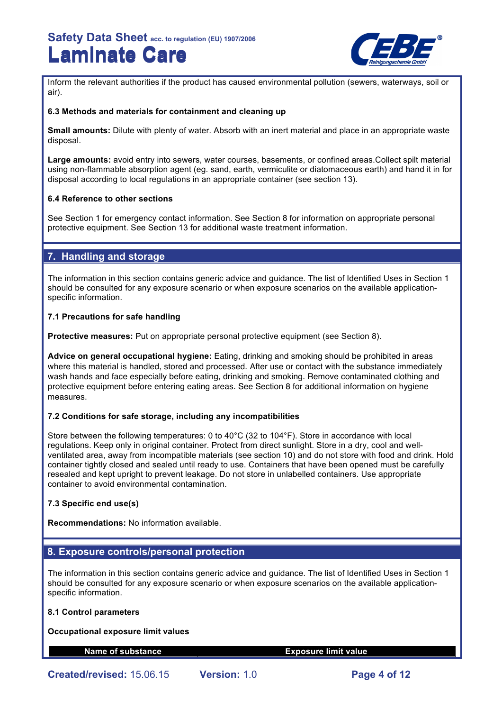

Inform the relevant authorities if the product has caused environmental pollution (sewers, waterways, soil or air).

#### **6.3 Methods and materials for containment and cleaning up**

**Small amounts:** Dilute with plenty of water. Absorb with an inert material and place in an appropriate waste disposal.

**Large amounts:** avoid entry into sewers, water courses, basements, or confined areas.Collect spilt material using non-flammable absorption agent (eg. sand, earth, vermiculite or diatomaceous earth) and hand it in for disposal according to local regulations in an appropriate container (see section 13).

#### **6.4 Reference to other sections**

See Section 1 for emergency contact information. See Section 8 for information on appropriate personal protective equipment. See Section 13 for additional waste treatment information.

### **7. Handling and storage**

The information in this section contains generic advice and guidance. The list of Identified Uses in Section 1 should be consulted for any exposure scenario or when exposure scenarios on the available applicationspecific information.

#### **7.1 Precautions for safe handling**

**Protective measures:** Put on appropriate personal protective equipment (see Section 8).

**Advice on general occupational hygiene:** Eating, drinking and smoking should be prohibited in areas where this material is handled, stored and processed. After use or contact with the substance immediately wash hands and face especially before eating, drinking and smoking. Remove contaminated clothing and protective equipment before entering eating areas. See Section 8 for additional information on hygiene measures.

#### **7.2 Conditions for safe storage, including any incompatibilities**

Store between the following temperatures: 0 to 40°C (32 to 104°F). Store in accordance with local regulations. Keep only in original container. Protect from direct sunlight. Store in a dry, cool and wellventilated area, away from incompatible materials (see section 10) and do not store with food and drink. Hold container tightly closed and sealed until ready to use. Containers that have been opened must be carefully resealed and kept upright to prevent leakage. Do not store in unlabelled containers. Use appropriate container to avoid environmental contamination.

#### **7.3 Specific end use(s)**

**Recommendations:** No information available.

### **8. Exposure controls/personal protection**

The information in this section contains generic advice and guidance. The list of Identified Uses in Section 1 should be consulted for any exposure scenario or when exposure scenarios on the available applicationspecific information.

#### **8.1 Control parameters**

#### **Occupational exposure limit values**

#### **Name of substance Exposure limit value**

**Created/revised:** 15.06.15 **Version:** 1.0 **Page 4 of 12**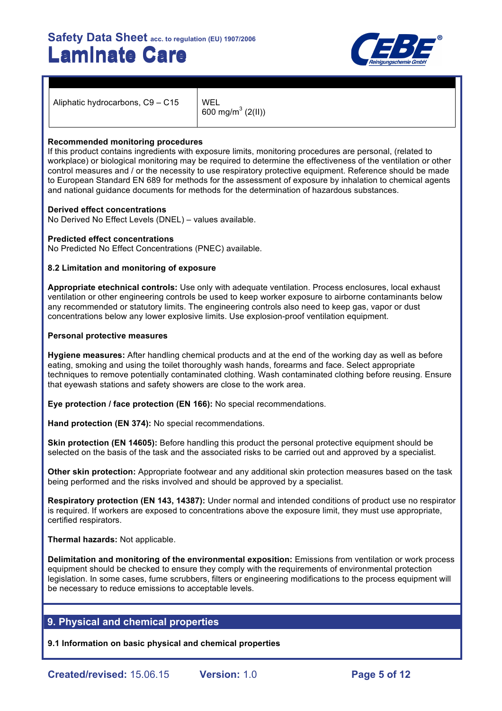

Aliphatic hydrocarbons,  $C9 - C15$  WEL

600 mg/m<sup>3</sup> (2(II))

#### **Recommended monitoring procedures**

If this product contains ingredients with exposure limits, monitoring procedures are personal, (related to workplace) or biological monitoring may be required to determine the effectiveness of the ventilation or other control measures and / or the necessity to use respiratory protective equipment. Reference should be made to European Standard EN 689 for methods for the assessment of exposure by inhalation to chemical agents and national guidance documents for methods for the determination of hazardous substances.

#### **Derived effect concentrations**

No Derived No Effect Levels (DNEL) – values available.

#### **Predicted effect concentrations**

No Predicted No Effect Concentrations (PNEC) available.

#### **8.2 Limitation and monitoring of exposure**

**Appropriate etechnical controls:** Use only with adequate ventilation. Process enclosures, local exhaust ventilation or other engineering controls be used to keep worker exposure to airborne contaminants below any recommended or statutory limits. The engineering controls also need to keep gas, vapor or dust concentrations below any lower explosive limits. Use explosion-proof ventilation equipment.

#### **Personal protective measures**

**Hygiene measures:** After handling chemical products and at the end of the working day as well as before eating, smoking and using the toilet thoroughly wash hands, forearms and face. Select appropriate techniques to remove potentially contaminated clothing. Wash contaminated clothing before reusing. Ensure that eyewash stations and safety showers are close to the work area.

**Eye protection / face protection (EN 166):** No special recommendations.

**Hand protection (EN 374):** No special recommendations.

**Skin protection (EN 14605):** Before handling this product the personal protective equipment should be selected on the basis of the task and the associated risks to be carried out and approved by a specialist.

**Other skin protection:** Appropriate footwear and any additional skin protection measures based on the task being performed and the risks involved and should be approved by a specialist.

**Respiratory protection (EN 143, 14387):** Under normal and intended conditions of product use no respirator is required. If workers are exposed to concentrations above the exposure limit, they must use appropriate, certified respirators.

#### **Thermal hazards:** Not applicable.

**Delimitation and monitoring of the environmental exposition:** Emissions from ventilation or work process equipment should be checked to ensure they comply with the requirements of environmental protection legislation. In some cases, fume scrubbers, filters or engineering modifications to the process equipment will be necessary to reduce emissions to acceptable levels.

### **9. Physical and chemical properties**

**9.1 Information on basic physical and chemical properties**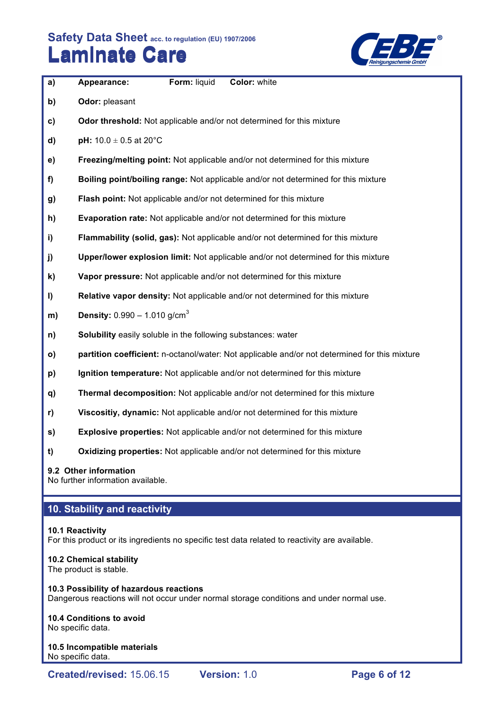

| a)           | Appearance:                                                         | Form: liquid | Color: white                                                                                  |
|--------------|---------------------------------------------------------------------|--------------|-----------------------------------------------------------------------------------------------|
| b)           | Odor: pleasant                                                      |              |                                                                                               |
| $\mathbf{c}$ |                                                                     |              | Odor threshold: Not applicable and/or not determined for this mixture                         |
| d)           | pH: $10.0 \pm 0.5$ at 20°C                                          |              |                                                                                               |
| e)           |                                                                     |              | Freezing/melting point: Not applicable and/or not determined for this mixture                 |
| f)           |                                                                     |              | Boiling point/boiling range: Not applicable and/or not determined for this mixture            |
| g)           |                                                                     |              | Flash point: Not applicable and/or not determined for this mixture                            |
| h)           |                                                                     |              | Evaporation rate: Not applicable and/or not determined for this mixture                       |
| i)           |                                                                     |              | Flammability (solid, gas): Not applicable and/or not determined for this mixture              |
| j)           |                                                                     |              | Upper/lower explosion limit: Not applicable and/or not determined for this mixture            |
| k)           |                                                                     |              | Vapor pressure: Not applicable and/or not determined for this mixture                         |
| I)           |                                                                     |              | Relative vapor density: Not applicable and/or not determined for this mixture                 |
| m)           | <b>Density:</b> $0.990 - 1.010$ g/cm <sup>3</sup>                   |              |                                                                                               |
| n)           | <b>Solubility</b> easily soluble in the following substances: water |              |                                                                                               |
| $\mathsf{o}$ |                                                                     |              | partition coefficient: n-octanol/water: Not applicable and/or not determined for this mixture |
| p)           |                                                                     |              | Ignition temperature: Not applicable and/or not determined for this mixture                   |
| q)           |                                                                     |              | Thermal decomposition: Not applicable and/or not determined for this mixture                  |
| r)           |                                                                     |              | Viscositiy, dynamic: Not applicable and/or not determined for this mixture                    |
| s)           |                                                                     |              | <b>Explosive properties:</b> Not applicable and/or not determined for this mixture            |
| t)           |                                                                     |              | <b>Oxidizing properties:</b> Not applicable and/or not determined for this mixture            |

**9.2 Other information**

No further information available.

# **10. Stability and reactivity**

# **10.1 Reactivity**

For this product or its ingredients no specific test data related to reactivity are available.

# **10.2 Chemical stability**

The product is stable.

## **10.3 Possibility of hazardous reactions** Dangerous reactions will not occur under normal storage conditions and under normal use.

# **10.4 Conditions to avoid**

No specific data.

#### **10.5 Incompatible materials** No specific data.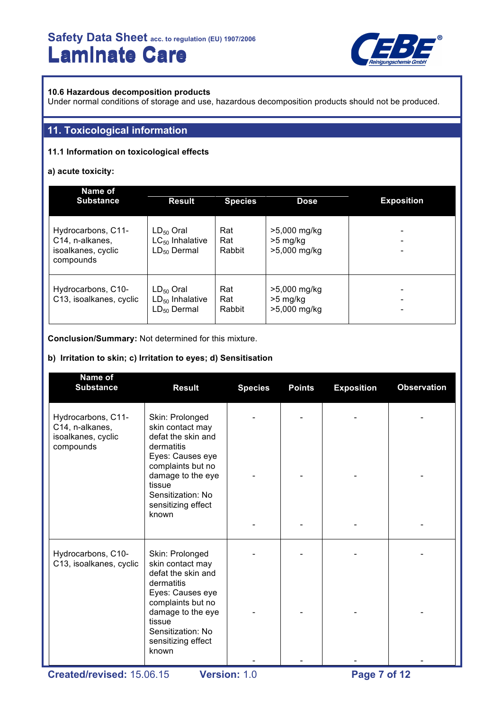

#### **10.6 Hazardous decomposition products**

Under normal conditions of storage and use, hazardous decomposition products should not be produced.

## **11. Toxicological information**

#### **11.1 Information on toxicological effects**

#### **a) acute toxicity:**

| Name of<br><b>Substance</b>                                                           | <b>Result</b>                                              | <b>Species</b>       | <b>Dose</b>                                | <b>Exposition</b> |
|---------------------------------------------------------------------------------------|------------------------------------------------------------|----------------------|--------------------------------------------|-------------------|
| Hydrocarbons, C11-<br>C <sub>14</sub> , n-alkanes,<br>isoalkanes, cyclic<br>compounds | $LD_{50}$ Oral<br>$LC_{50}$ Inhalative<br>$LD_{50}$ Dermal | Rat<br>Rat<br>Rabbit | >5,000 mg/kg<br>$>5$ mg/kg<br>>5,000 mg/kg |                   |
| Hydrocarbons, C10-<br>C13, isoalkanes, cyclic                                         | $LD_{50}$ Oral<br>$LD_{50}$ Inhalative<br>$LD_{50}$ Dermal | Rat<br>Rat<br>Rabbit | >5,000 mg/kg<br>$>5$ mg/kg<br>>5,000 mg/kg |                   |

**Conclusion/Summary:** Not determined for this mixture.

#### **b) Irritation to skin; c) Irritation to eyes; d) Sensitisation**

| Name of<br><b>Substance</b>                                              | <b>Result</b>                                                                                                                                                                                       | <b>Species</b> | <b>Points</b> | <b>Exposition</b> | <b>Observation</b> |
|--------------------------------------------------------------------------|-----------------------------------------------------------------------------------------------------------------------------------------------------------------------------------------------------|----------------|---------------|-------------------|--------------------|
| Hydrocarbons, C11-<br>C14, n-alkanes,<br>isoalkanes, cyclic<br>compounds | Skin: Prolonged<br>skin contact may<br>defat the skin and<br>dermatitis<br>Eyes: Causes eye<br>complaints but no<br>damage to the eye<br>tissue<br>Sensitization: No<br>sensitizing effect<br>known |                |               |                   |                    |
| Hydrocarbons, C10-<br>C13, isoalkanes, cyclic                            | Skin: Prolonged<br>skin contact may<br>defat the skin and<br>dermatitis<br>Eyes: Causes eye<br>complaints but no<br>damage to the eye<br>tissue<br>Sensitization: No<br>sensitizing effect<br>known |                |               |                   |                    |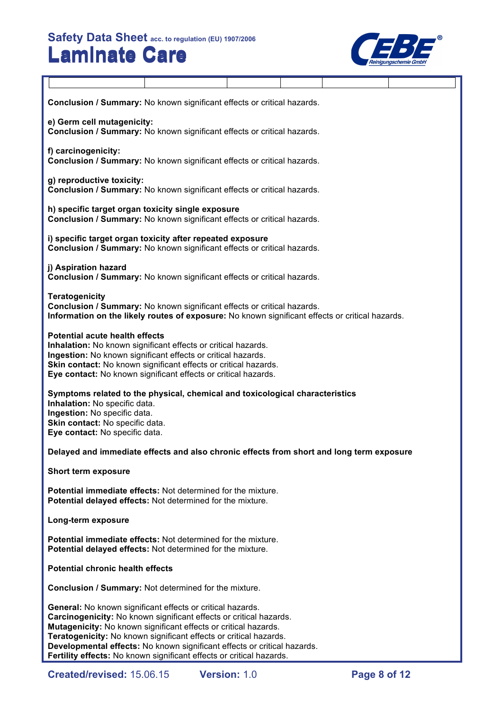$\overline{\mathsf{T}}$ 



| Conclusion / Summary: No known significant effects or critical hazards.                                                                                                                                                                                                                                                                                                                                                             |  |              |  |              |  |  |
|-------------------------------------------------------------------------------------------------------------------------------------------------------------------------------------------------------------------------------------------------------------------------------------------------------------------------------------------------------------------------------------------------------------------------------------|--|--------------|--|--------------|--|--|
| e) Germ cell mutagenicity:<br>Conclusion / Summary: No known significant effects or critical hazards.                                                                                                                                                                                                                                                                                                                               |  |              |  |              |  |  |
| f) carcinogenicity:<br>Conclusion / Summary: No known significant effects or critical hazards.                                                                                                                                                                                                                                                                                                                                      |  |              |  |              |  |  |
| g) reproductive toxicity:<br>Conclusion / Summary: No known significant effects or critical hazards.                                                                                                                                                                                                                                                                                                                                |  |              |  |              |  |  |
| h) specific target organ toxicity single exposure<br>Conclusion / Summary: No known significant effects or critical hazards.                                                                                                                                                                                                                                                                                                        |  |              |  |              |  |  |
| i) specific target organ toxicity after repeated exposure<br>Conclusion / Summary: No known significant effects or critical hazards.                                                                                                                                                                                                                                                                                                |  |              |  |              |  |  |
| j) Aspiration hazard<br>Conclusion / Summary: No known significant effects or critical hazards.                                                                                                                                                                                                                                                                                                                                     |  |              |  |              |  |  |
| <b>Teratogenicity</b><br>Conclusion / Summary: No known significant effects or critical hazards.<br>Information on the likely routes of exposure: No known significant effects or critical hazards.                                                                                                                                                                                                                                 |  |              |  |              |  |  |
| <b>Potential acute health effects</b><br>Inhalation: No known significant effects or critical hazards.<br>Ingestion: No known significant effects or critical hazards.<br>Skin contact: No known significant effects or critical hazards.<br>Eye contact: No known significant effects or critical hazards.                                                                                                                         |  |              |  |              |  |  |
| Symptoms related to the physical, chemical and toxicological characteristics<br>Inhalation: No specific data.<br>Ingestion: No specific data.<br>Skin contact: No specific data.<br>Eye contact: No specific data.                                                                                                                                                                                                                  |  |              |  |              |  |  |
| Delayed and immediate effects and also chronic effects from short and long term exposure                                                                                                                                                                                                                                                                                                                                            |  |              |  |              |  |  |
| <b>Short term exposure</b>                                                                                                                                                                                                                                                                                                                                                                                                          |  |              |  |              |  |  |
| <b>Potential immediate effects: Not determined for the mixture.</b><br>Potential delayed effects: Not determined for the mixture.                                                                                                                                                                                                                                                                                                   |  |              |  |              |  |  |
| Long-term exposure                                                                                                                                                                                                                                                                                                                                                                                                                  |  |              |  |              |  |  |
| <b>Potential immediate effects:</b> Not determined for the mixture.<br>Potential delayed effects: Not determined for the mixture.                                                                                                                                                                                                                                                                                                   |  |              |  |              |  |  |
| <b>Potential chronic health effects</b>                                                                                                                                                                                                                                                                                                                                                                                             |  |              |  |              |  |  |
| <b>Conclusion / Summary: Not determined for the mixture.</b>                                                                                                                                                                                                                                                                                                                                                                        |  |              |  |              |  |  |
| <b>General:</b> No known significant effects or critical hazards.<br>Carcinogenicity: No known significant effects or critical hazards.<br>Mutagenicity: No known significant effects or critical hazards.<br>Teratogenicity: No known significant effects or critical hazards.<br>Developmental effects: No known significant effects or critical hazards.<br>Fertility effects: No known significant effects or critical hazards. |  |              |  |              |  |  |
| Created/revised: 15.06.15                                                                                                                                                                                                                                                                                                                                                                                                           |  | Version: 1.0 |  | Page 8 of 12 |  |  |

Τ

ヿ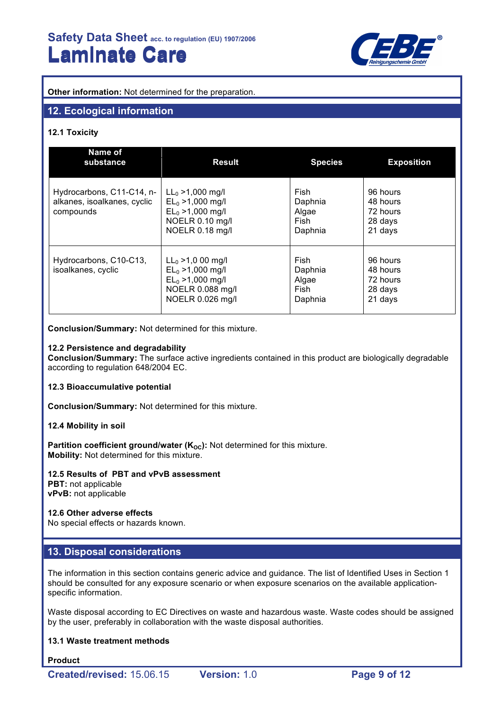

**Other information:** Not determined for the preparation.

### **12. Ecological information**

#### **12.1 Toxicity**

| Name of<br>substance                                                  | <b>Result</b>                                                                                             | <b>Species</b>                              | <b>Exposition</b>                                      |
|-----------------------------------------------------------------------|-----------------------------------------------------------------------------------------------------------|---------------------------------------------|--------------------------------------------------------|
| Hydrocarbons, C11-C14, n-<br>alkanes, isoalkanes, cyclic<br>compounds | $LL_0 > 1,000$ mg/l<br>$EL_0 > 1,000$ mg/l<br>$EL_0 > 1,000$ mg/l<br>NOELR 0.10 mg/l<br>NOELR 0.18 mg/l   | Fish<br>Daphnia<br>Algae<br>Fish<br>Daphnia | 96 hours<br>48 hours<br>72 hours<br>28 days<br>21 days |
| Hydrocarbons, C10-C13,<br>isoalkanes, cyclic                          | $LL_0 > 1,000$ mg/l<br>$EL_0 > 1,000$ mg/l<br>$EL_0 > 1,000$ mg/l<br>NOELR 0.088 mg/l<br>NOELR 0.026 mg/l | Fish<br>Daphnia<br>Algae<br>Fish<br>Daphnia | 96 hours<br>48 hours<br>72 hours<br>28 days<br>21 days |

**Conclusion/Summary:** Not determined for this mixture.

#### **12.2 Persistence and degradability**

**Conclusion/Summary:** The surface active ingredients contained in this product are biologically degradable according to regulation 648/2004 EC.

#### **12.3 Bioaccumulative potential**

**Conclusion/Summary:** Not determined for this mixture.

#### **12.4 Mobility in soil**

**Partition coefficient ground/water (K<sub>OC</sub>):** Not determined for this mixture. **Mobility:** Not determined for this mixture.

#### **12.5 Results of PBT and vPvB assessment**

**PBT:** not applicable **vPvB:** not applicable

#### **12.6 Other adverse effects**

No special effects or hazards known.

### **13. Disposal considerations**

The information in this section contains generic advice and guidance. The list of Identified Uses in Section 1 should be consulted for any exposure scenario or when exposure scenarios on the available applicationspecific information.

Waste disposal according to EC Directives on waste and hazardous waste. Waste codes should be assigned by the user, preferably in collaboration with the waste disposal authorities.

#### **13.1 Waste treatment methods**

**Product**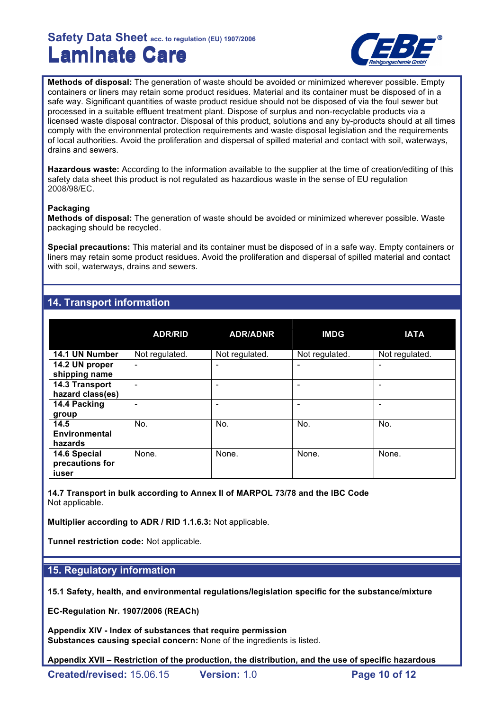

**Methods of disposal:** The generation of waste should be avoided or minimized wherever possible. Empty containers or liners may retain some product residues. Material and its container must be disposed of in a safe way. Significant quantities of waste product residue should not be disposed of via the foul sewer but processed in a suitable effluent treatment plant. Dispose of surplus and non-recyclable products via a licensed waste disposal contractor. Disposal of this product, solutions and any by-products should at all times comply with the environmental protection requirements and waste disposal legislation and the requirements of local authorities. Avoid the proliferation and dispersal of spilled material and contact with soil, waterways, drains and sewers.

**Hazardous waste:** According to the information available to the supplier at the time of creation/editing of this safety data sheet this product is not regulated as hazardious waste in the sense of EU regulation 2008/98/EC.

#### **Packaging**

**Methods of disposal:** The generation of waste should be avoided or minimized wherever possible. Waste packaging should be recycled.

**Special precautions:** This material and its container must be disposed of in a safe way. Empty containers or liners may retain some product residues. Avoid the proliferation and dispersal of spilled material and contact with soil, waterways, drains and sewers.

# **14. Transport information**

|                                          | <b>ADR/RID</b> | <b>ADR/ADNR</b> | <b>IMDG</b>    | <b>IATA</b>    |
|------------------------------------------|----------------|-----------------|----------------|----------------|
| 14.1 UN Number                           | Not regulated. | Not regulated.  | Not regulated. | Not regulated. |
| 14.2 UN proper<br>shipping name          | ٠              | -               |                | ٠              |
| 14.3 Transport<br>hazard class(es)       | -              |                 |                | ۰              |
| 14.4 Packing<br>group                    |                |                 |                |                |
| 14.5<br>Environmental<br>hazards         | No.            | No.             | No.            | No.            |
| 14.6 Special<br>precautions for<br>iuser | None.          | None.           | None.          | None.          |

**14.7 Transport in bulk according to Annex II of MARPOL 73/78 and the IBC Code** Not applicable.

**Multiplier according to ADR / RID 1.1.6.3:** Not applicable.

**Tunnel restriction code:** Not applicable.

### **15. Regulatory information**

**15.1 Safety, health, and environmental regulations/legislation specific for the substance/mixture**

**EC-Regulation Nr. 1907/2006 (REACh)**

**Appendix XIV - Index of substances that require permission Substances causing special concern:** None of the ingredients is listed.

**Appendix XVII – Restriction of the production, the distribution, and the use of specific hazardous**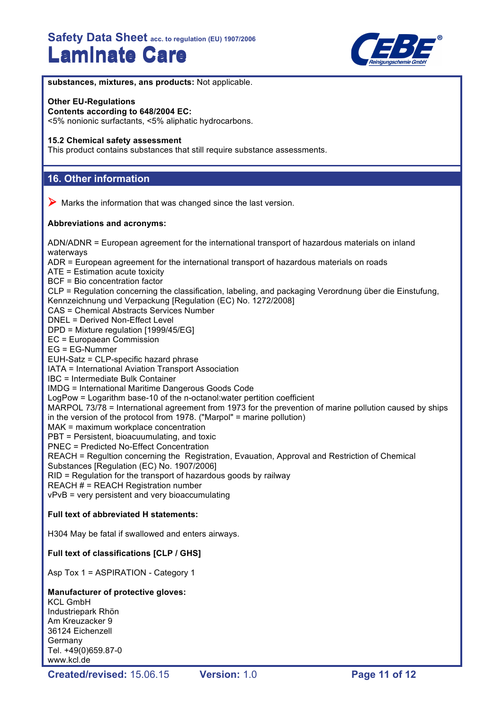

**substances, mixtures, ans products:** Not applicable.

#### **Other EU-Regulations**

**Contents according to 648/2004 EC:** <5% nonionic surfactants, <5% aliphatic hydrocarbons.

#### **15.2 Chemical safety assessment**

This product contains substances that still require substance assessments.

## **16. Other information**

 $\triangleright$  Marks the information that was changed since the last version.

#### **Abbreviations and acronyms:**

ADN/ADNR = European agreement for the international transport of hazardous materials on inland waterways ADR = European agreement for the international transport of hazardous materials on roads ATE = Estimation acute toxicity BCF = Bio concentration factor CLP = Regulation concerning the classification, labeling, and packaging Verordnung über die Einstufung, Kennzeichnung und Verpackung [Regulation (EC) No. 1272/2008] CAS = Chemical Abstracts Services Number DNEL = Derived Non-Effect Level DPD = Mixture regulation [1999/45/EG] EC = Europaean Commission EG = EG-Nummer EUH-Satz = CLP-specific hazard phrase IATA = International Aviation Transport Association IBC = Intermediate Bulk Container IMDG = International Maritime Dangerous Goods Code LogPow = Logarithm base-10 of the n-octanol:water pertition coefficient MARPOL 73/78 = International agreement from 1973 for the prevention of marine pollution caused by ships in the version of the protocol from 1978. ("Marpol" = marine pollution) MAK = maximum workplace concentration PBT = Persistent, bioacuumulating, and toxic PNEC = Predicted No-Effect Concentration REACH = Regultion concerning the Registration, Evauation, Approval and Restriction of Chemical Substances [Regulation (EC) No. 1907/2006] RID = Regulation for the transport of hazardous goods by railway REACH # = REACH Registration number vPvB = very persistent and very bioaccumulating **Full text of abbreviated H statements:** H304 May be fatal if swallowed and enters airways. **Full text of classifications [CLP / GHS]**

Asp Tox 1 = ASPIRATION - Category 1

### **Manufacturer of protective gloves:**

KCL GmbH Industriepark Rhön Am Kreuzacker 9 36124 Eichenzell **Germany** Tel. +49(0)659.87-0 www.kcl.de

**Created/revised:** 15.06.15 **Version:** 1.0 **Page 11 of 12**